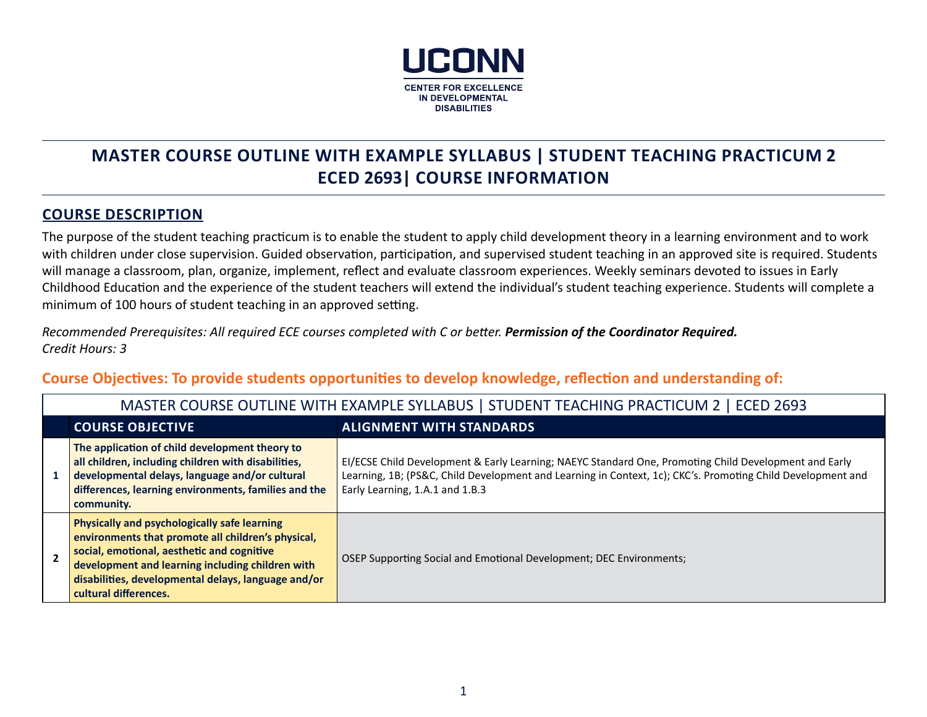

# **MASTER COURSE OUTLINE WITH EXAMPLE SYLLABUS | STUDENT TEACHING PRACTICUM 2 ECED 2693| COURSE INFORMATION**

### **COURSE DESCRIPTION**

The purpose of the student teaching practicum is to enable the student to apply child development theory in a learning environment and to work with children under close supervision. Guided observation, participation, and supervised student teaching in an approved site is required. Students will manage a classroom, plan, organize, implement, reflect and evaluate classroom experiences. Weekly seminars devoted to issues in Early Childhood Education and the experience of the student teachers will extend the individual's student teaching experience. Students will complete a minimum of 100 hours of student teaching in an approved setting.

*Recommended Prerequisites: All required ECE courses completed with C or better. Permission of the Coordinator Required. Credit Hours: 3*

**Course Objectives: To provide students opportunities to develop knowledge, reflection and understanding of:**

| MASTER COURSE OUTLINE WITH EXAMPLE SYLLABUS   STUDENT TEACHING PRACTICUM 2   ECED 2693                                                                                                                                                                                                      |                                                                                                                                                                                                                                                         |  |  |
|---------------------------------------------------------------------------------------------------------------------------------------------------------------------------------------------------------------------------------------------------------------------------------------------|---------------------------------------------------------------------------------------------------------------------------------------------------------------------------------------------------------------------------------------------------------|--|--|
| <b>COURSE OBJECTIVE</b>                                                                                                                                                                                                                                                                     | <b>ALIGNMENT WITH STANDARDS</b>                                                                                                                                                                                                                         |  |  |
| The application of child development theory to<br>all children, including children with disabilities,<br>developmental delays, language and/or cultural<br>differences, learning environments, families and the<br>community.                                                               | EI/ECSE Child Development & Early Learning; NAEYC Standard One, Promoting Child Development and Early<br>Learning, 1B; (PS&C, Child Development and Learning in Context, 1c); CKC's. Promoting Child Development and<br>Early Learning, 1.A.1 and 1.B.3 |  |  |
| <b>Physically and psychologically safe learning</b><br>environments that promote all children's physical,<br>social, emotional, aesthetic and cognitive<br>development and learning including children with<br>disabilities, developmental delays, language and/or<br>cultural differences. | OSEP Supporting Social and Emotional Development; DEC Environments;                                                                                                                                                                                     |  |  |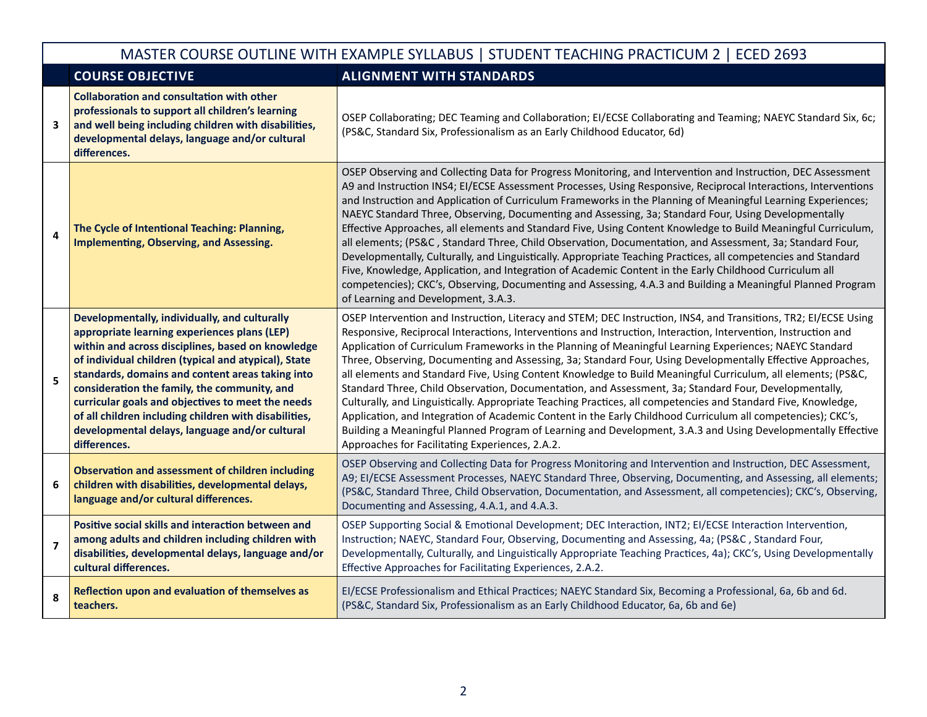|                         | MASTER COURSE OUTLINE WITH EXAMPLE SYLLABUS   STUDENT TEACHING PRACTICUM 2   ECED 2693                                                                                                                                                                                                                                                                                                                                                                                                         |                                                                                                                                                                                                                                                                                                                                                                                                                                                                                                                                                                                                                                                                                                                                                                                                                                                                                                                                                                                                                                                                                            |  |  |
|-------------------------|------------------------------------------------------------------------------------------------------------------------------------------------------------------------------------------------------------------------------------------------------------------------------------------------------------------------------------------------------------------------------------------------------------------------------------------------------------------------------------------------|--------------------------------------------------------------------------------------------------------------------------------------------------------------------------------------------------------------------------------------------------------------------------------------------------------------------------------------------------------------------------------------------------------------------------------------------------------------------------------------------------------------------------------------------------------------------------------------------------------------------------------------------------------------------------------------------------------------------------------------------------------------------------------------------------------------------------------------------------------------------------------------------------------------------------------------------------------------------------------------------------------------------------------------------------------------------------------------------|--|--|
|                         | <b>COURSE OBJECTIVE</b>                                                                                                                                                                                                                                                                                                                                                                                                                                                                        | <b>ALIGNMENT WITH STANDARDS</b>                                                                                                                                                                                                                                                                                                                                                                                                                                                                                                                                                                                                                                                                                                                                                                                                                                                                                                                                                                                                                                                            |  |  |
| 3                       | <b>Collaboration and consultation with other</b><br>professionals to support all children's learning<br>and well being including children with disabilities,<br>developmental delays, language and/or cultural<br>differences.                                                                                                                                                                                                                                                                 | OSEP Collaborating; DEC Teaming and Collaboration; EI/ECSE Collaborating and Teaming; NAEYC Standard Six, 6c;<br>(PS&C, Standard Six, Professionalism as an Early Childhood Educator, 6d)                                                                                                                                                                                                                                                                                                                                                                                                                                                                                                                                                                                                                                                                                                                                                                                                                                                                                                  |  |  |
| 4                       | The Cycle of Intentional Teaching: Planning,<br><b>Implementing, Observing, and Assessing.</b>                                                                                                                                                                                                                                                                                                                                                                                                 | OSEP Observing and Collecting Data for Progress Monitoring, and Intervention and Instruction, DEC Assessment<br>A9 and Instruction INS4; EI/ECSE Assessment Processes, Using Responsive, Reciprocal Interactions, Interventions<br>and Instruction and Application of Curriculum Frameworks in the Planning of Meaningful Learning Experiences;<br>NAEYC Standard Three, Observing, Documenting and Assessing, 3a; Standard Four, Using Developmentally<br>Effective Approaches, all elements and Standard Five, Using Content Knowledge to Build Meaningful Curriculum,<br>all elements; (PS&C, Standard Three, Child Observation, Documentation, and Assessment, 3a; Standard Four,<br>Developmentally, Culturally, and Linguistically. Appropriate Teaching Practices, all competencies and Standard<br>Five, Knowledge, Application, and Integration of Academic Content in the Early Childhood Curriculum all<br>competencies); CKC's, Observing, Documenting and Assessing, 4.A.3 and Building a Meaningful Planned Program<br>of Learning and Development, 3.A.3.                   |  |  |
| 5                       | Developmentally, individually, and culturally<br>appropriate learning experiences plans (LEP)<br>within and across disciplines, based on knowledge<br>of individual children (typical and atypical), State<br>standards, domains and content areas taking into<br>consideration the family, the community, and<br>curricular goals and objectives to meet the needs<br>of all children including children with disabilities,<br>developmental delays, language and/or cultural<br>differences. | OSEP Intervention and Instruction, Literacy and STEM; DEC Instruction, INS4, and Transitions, TR2; EI/ECSE Using<br>Responsive, Reciprocal Interactions, Interventions and Instruction, Interaction, Intervention, Instruction and<br>Application of Curriculum Frameworks in the Planning of Meaningful Learning Experiences; NAEYC Standard<br>Three, Observing, Documenting and Assessing, 3a; Standard Four, Using Developmentally Effective Approaches,<br>all elements and Standard Five, Using Content Knowledge to Build Meaningful Curriculum, all elements; (PS&C,<br>Standard Three, Child Observation, Documentation, and Assessment, 3a; Standard Four, Developmentally,<br>Culturally, and Linguistically. Appropriate Teaching Practices, all competencies and Standard Five, Knowledge,<br>Application, and Integration of Academic Content in the Early Childhood Curriculum all competencies); CKC's,<br>Building a Meaningful Planned Program of Learning and Development, 3.A.3 and Using Developmentally Effective<br>Approaches for Facilitating Experiences, 2.A.2. |  |  |
| 6                       | <b>Observation and assessment of children including</b><br>children with disabilities, developmental delays,<br>language and/or cultural differences.                                                                                                                                                                                                                                                                                                                                          | OSEP Observing and Collecting Data for Progress Monitoring and Intervention and Instruction, DEC Assessment,<br>A9; EI/ECSE Assessment Processes, NAEYC Standard Three, Observing, Documenting, and Assessing, all elements;<br>(PS&C, Standard Three, Child Observation, Documentation, and Assessment, all competencies); CKC's, Observing,<br>Documenting and Assessing, 4.A.1, and 4.A.3.                                                                                                                                                                                                                                                                                                                                                                                                                                                                                                                                                                                                                                                                                              |  |  |
| $\overline{\mathbf{z}}$ | Positive social skills and interaction between and<br>among adults and children including children with<br>disabilities, developmental delays, language and/or<br>cultural differences.                                                                                                                                                                                                                                                                                                        | OSEP Supporting Social & Emotional Development; DEC Interaction, INT2; EI/ECSE Interaction Intervention,<br>Instruction; NAEYC, Standard Four, Observing, Documenting and Assessing, 4a; (PS&C, Standard Four,<br>Developmentally, Culturally, and Linguistically Appropriate Teaching Practices, 4a); CKC's, Using Developmentally<br>Effective Approaches for Facilitating Experiences, 2.A.2.                                                                                                                                                                                                                                                                                                                                                                                                                                                                                                                                                                                                                                                                                           |  |  |
| 8                       | Reflection upon and evaluation of themselves as<br>teachers.                                                                                                                                                                                                                                                                                                                                                                                                                                   | EI/ECSE Professionalism and Ethical Practices; NAEYC Standard Six, Becoming a Professional, 6a, 6b and 6d.<br>(PS&C, Standard Six, Professionalism as an Early Childhood Educator, 6a, 6b and 6e)                                                                                                                                                                                                                                                                                                                                                                                                                                                                                                                                                                                                                                                                                                                                                                                                                                                                                          |  |  |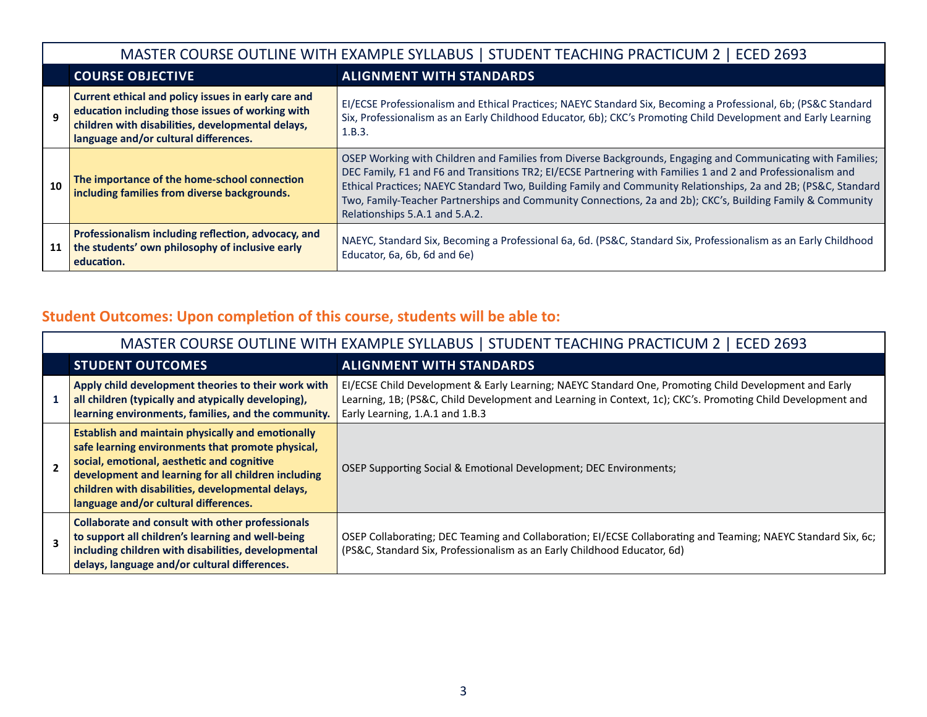|    | MASTER COURSE OUTLINE WITH EXAMPLE SYLLABUS   STUDENT TEACHING PRACTICUM 2   ECED 2693                                                                                                                |                                                                                                                                                                                                                                                                                                                                                                                                                                                                                              |  |  |
|----|-------------------------------------------------------------------------------------------------------------------------------------------------------------------------------------------------------|----------------------------------------------------------------------------------------------------------------------------------------------------------------------------------------------------------------------------------------------------------------------------------------------------------------------------------------------------------------------------------------------------------------------------------------------------------------------------------------------|--|--|
|    | <b>COURSE OBJECTIVE</b><br><b>ALIGNMENT WITH STANDARDS</b>                                                                                                                                            |                                                                                                                                                                                                                                                                                                                                                                                                                                                                                              |  |  |
|    | Current ethical and policy issues in early care and<br>education including those issues of working with<br>children with disabilities, developmental delays,<br>language and/or cultural differences. | EI/ECSE Professionalism and Ethical Practices; NAEYC Standard Six, Becoming a Professional, 6b; (PS&C Standard<br>Six, Professionalism as an Early Childhood Educator, 6b); CKC's Promoting Child Development and Early Learning<br>1.B.3.                                                                                                                                                                                                                                                   |  |  |
| 10 | The importance of the home-school connection<br>including families from diverse backgrounds.                                                                                                          | OSEP Working with Children and Families from Diverse Backgrounds, Engaging and Communicating with Families;<br>DEC Family, F1 and F6 and Transitions TR2; EI/ECSE Partnering with Families 1 and 2 and Professionalism and<br>Ethical Practices; NAEYC Standard Two, Building Family and Community Relationships, 2a and 2B; (PS&C, Standard<br>Two, Family-Teacher Partnerships and Community Connections, 2a and 2b); CKC's, Building Family & Community<br>Relationships 5.A.1 and 5.A.2. |  |  |
| 11 | Professionalism including reflection, advocacy, and<br>the students' own philosophy of inclusive early<br>education.                                                                                  | NAEYC, Standard Six, Becoming a Professional 6a, 6d. (PS&C, Standard Six, Professionalism as an Early Childhood<br>Educator, 6a, 6b, 6d and 6e)                                                                                                                                                                                                                                                                                                                                              |  |  |

# **Student Outcomes: Upon completion of this course, students will be able to:**

|                          |                                                                                                                                                                                                                                                                                                                  | MASTER COURSE OUTLINE WITH EXAMPLE SYLLABUS   STUDENT TEACHING PRACTICUM 2   ECED 2693                                                                                                                                                                  |
|--------------------------|------------------------------------------------------------------------------------------------------------------------------------------------------------------------------------------------------------------------------------------------------------------------------------------------------------------|---------------------------------------------------------------------------------------------------------------------------------------------------------------------------------------------------------------------------------------------------------|
|                          | <b>STUDENT OUTCOMES</b>                                                                                                                                                                                                                                                                                          | <b>ALIGNMENT WITH STANDARDS</b>                                                                                                                                                                                                                         |
|                          | Apply child development theories to their work with<br>all children (typically and atypically developing),<br>learning environments, families, and the community.                                                                                                                                                | EI/ECSE Child Development & Early Learning; NAEYC Standard One, Promoting Child Development and Early<br>Learning, 1B; (PS&C, Child Development and Learning in Context, 1c); CKC's. Promoting Child Development and<br>Early Learning, 1.A.1 and 1.B.3 |
| $\overline{\phantom{a}}$ | <b>Establish and maintain physically and emotionally</b><br>safe learning environments that promote physical,<br>social, emotional, aesthetic and cognitive<br>development and learning for all children including<br>children with disabilities, developmental delays,<br>language and/or cultural differences. | OSEP Supporting Social & Emotional Development; DEC Environments;                                                                                                                                                                                       |
|                          | <b>Collaborate and consult with other professionals</b><br>to support all children's learning and well-being<br>including children with disabilities, developmental<br>delays, language and/or cultural differences.                                                                                             | OSEP Collaborating; DEC Teaming and Collaboration; EI/ECSE Collaborating and Teaming; NAEYC Standard Six, 6c;<br>(PS&C, Standard Six, Professionalism as an Early Childhood Educator, 6d)                                                               |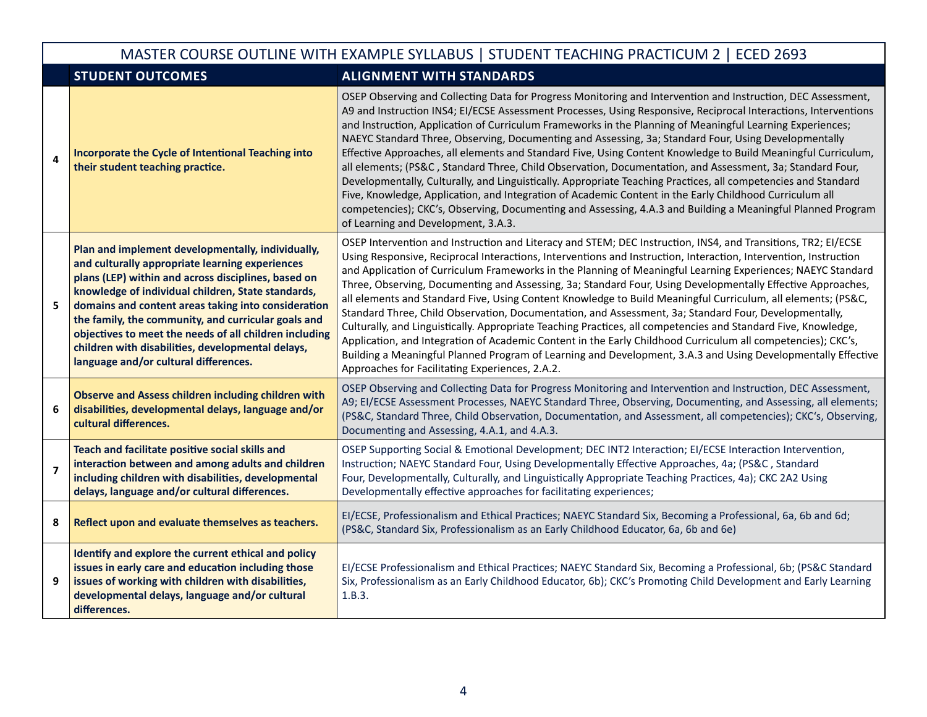|                | MASTER COURSE OUTLINE WITH EXAMPLE SYLLABUS   STUDENT TEACHING PRACTICUM 2   ECED 2693                                                                                                                                                                                                                                                                                                                                                                                                  |                                                                                                                                                                                                                                                                                                                                                                                                                                                                                                                                                                                                                                                                                                                                                                                                                                                                                                                                                                                                                                                                                               |  |  |
|----------------|-----------------------------------------------------------------------------------------------------------------------------------------------------------------------------------------------------------------------------------------------------------------------------------------------------------------------------------------------------------------------------------------------------------------------------------------------------------------------------------------|-----------------------------------------------------------------------------------------------------------------------------------------------------------------------------------------------------------------------------------------------------------------------------------------------------------------------------------------------------------------------------------------------------------------------------------------------------------------------------------------------------------------------------------------------------------------------------------------------------------------------------------------------------------------------------------------------------------------------------------------------------------------------------------------------------------------------------------------------------------------------------------------------------------------------------------------------------------------------------------------------------------------------------------------------------------------------------------------------|--|--|
|                | <b>STUDENT OUTCOMES</b>                                                                                                                                                                                                                                                                                                                                                                                                                                                                 | <b>ALIGNMENT WITH STANDARDS</b>                                                                                                                                                                                                                                                                                                                                                                                                                                                                                                                                                                                                                                                                                                                                                                                                                                                                                                                                                                                                                                                               |  |  |
| 4              | Incorporate the Cycle of Intentional Teaching into<br>their student teaching practice.                                                                                                                                                                                                                                                                                                                                                                                                  | OSEP Observing and Collecting Data for Progress Monitoring and Intervention and Instruction, DEC Assessment,<br>A9 and Instruction INS4; EI/ECSE Assessment Processes, Using Responsive, Reciprocal Interactions, Interventions<br>and Instruction, Application of Curriculum Frameworks in the Planning of Meaningful Learning Experiences;<br>NAEYC Standard Three, Observing, Documenting and Assessing, 3a; Standard Four, Using Developmentally<br>Effective Approaches, all elements and Standard Five, Using Content Knowledge to Build Meaningful Curriculum,<br>all elements; (PS&C, Standard Three, Child Observation, Documentation, and Assessment, 3a; Standard Four,<br>Developmentally, Culturally, and Linguistically. Appropriate Teaching Practices, all competencies and Standard<br>Five, Knowledge, Application, and Integration of Academic Content in the Early Childhood Curriculum all<br>competencies); CKC's, Observing, Documenting and Assessing, 4.A.3 and Building a Meaningful Planned Program<br>of Learning and Development, 3.A.3.                         |  |  |
| 5              | Plan and implement developmentally, individually,<br>and culturally appropriate learning experiences<br>plans (LEP) within and across disciplines, based on<br>knowledge of individual children, State standards,<br>domains and content areas taking into consideration<br>the family, the community, and curricular goals and<br>objectives to meet the needs of all children including<br>children with disabilities, developmental delays,<br>language and/or cultural differences. | OSEP Intervention and Instruction and Literacy and STEM; DEC Instruction, INS4, and Transitions, TR2; EI/ECSE<br>Using Responsive, Reciprocal Interactions, Interventions and Instruction, Interaction, Intervention, Instruction<br>and Application of Curriculum Frameworks in the Planning of Meaningful Learning Experiences; NAEYC Standard<br>Three, Observing, Documenting and Assessing, 3a; Standard Four, Using Developmentally Effective Approaches,<br>all elements and Standard Five, Using Content Knowledge to Build Meaningful Curriculum, all elements; (PS&C,<br>Standard Three, Child Observation, Documentation, and Assessment, 3a; Standard Four, Developmentally,<br>Culturally, and Linguistically. Appropriate Teaching Practices, all competencies and Standard Five, Knowledge,<br>Application, and Integration of Academic Content in the Early Childhood Curriculum all competencies); CKC's,<br>Building a Meaningful Planned Program of Learning and Development, 3.A.3 and Using Developmentally Effective<br>Approaches for Facilitating Experiences, 2.A.2. |  |  |
| 6              | <b>Observe and Assess children including children with</b><br>disabilities, developmental delays, language and/or<br>cultural differences.                                                                                                                                                                                                                                                                                                                                              | OSEP Observing and Collecting Data for Progress Monitoring and Intervention and Instruction, DEC Assessment,<br>A9; EI/ECSE Assessment Processes, NAEYC Standard Three, Observing, Documenting, and Assessing, all elements;<br>(PS&C, Standard Three, Child Observation, Documentation, and Assessment, all competencies); CKC's, Observing,<br>Documenting and Assessing, 4.A.1, and 4.A.3.                                                                                                                                                                                                                                                                                                                                                                                                                                                                                                                                                                                                                                                                                                 |  |  |
| $\overline{7}$ | Teach and facilitate positive social skills and<br>interaction between and among adults and children<br>including children with disabilities, developmental<br>delays, language and/or cultural differences.                                                                                                                                                                                                                                                                            | OSEP Supporting Social & Emotional Development; DEC INT2 Interaction; EI/ECSE Interaction Intervention,<br>Instruction; NAEYC Standard Four, Using Developmentally Effective Approaches, 4a; (PS&C, Standard<br>Four, Developmentally, Culturally, and Linguistically Appropriate Teaching Practices, 4a); CKC 2A2 Using<br>Developmentally effective approaches for facilitating experiences;                                                                                                                                                                                                                                                                                                                                                                                                                                                                                                                                                                                                                                                                                                |  |  |
| 8              | Reflect upon and evaluate themselves as teachers.                                                                                                                                                                                                                                                                                                                                                                                                                                       | EI/ECSE, Professionalism and Ethical Practices; NAEYC Standard Six, Becoming a Professional, 6a, 6b and 6d;<br>(PS&C, Standard Six, Professionalism as an Early Childhood Educator, 6a, 6b and 6e)                                                                                                                                                                                                                                                                                                                                                                                                                                                                                                                                                                                                                                                                                                                                                                                                                                                                                            |  |  |
| 9              | Identify and explore the current ethical and policy<br>issues in early care and education including those<br>issues of working with children with disabilities,<br>developmental delays, language and/or cultural<br>differences.                                                                                                                                                                                                                                                       | EI/ECSE Professionalism and Ethical Practices; NAEYC Standard Six, Becoming a Professional, 6b; (PS&C Standard<br>Six, Professionalism as an Early Childhood Educator, 6b); CKC's Promoting Child Development and Early Learning<br>1.B.3.                                                                                                                                                                                                                                                                                                                                                                                                                                                                                                                                                                                                                                                                                                                                                                                                                                                    |  |  |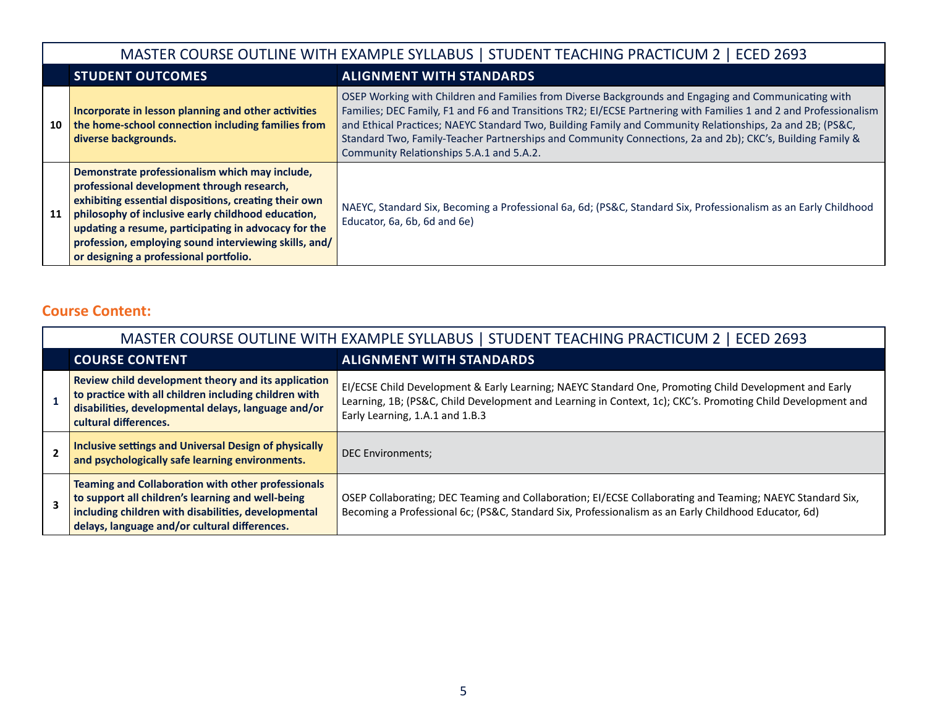|    |                                                                                                                                                                                                                                                                                                                                                                        | MASTER COURSE OUTLINE WITH EXAMPLE SYLLABUS   STUDENT TEACHING PRACTICUM 2   ECED 2693                                                                                                                                                                                                                                                                                                                                                                                                          |  |  |
|----|------------------------------------------------------------------------------------------------------------------------------------------------------------------------------------------------------------------------------------------------------------------------------------------------------------------------------------------------------------------------|-------------------------------------------------------------------------------------------------------------------------------------------------------------------------------------------------------------------------------------------------------------------------------------------------------------------------------------------------------------------------------------------------------------------------------------------------------------------------------------------------|--|--|
|    | <b>STUDENT OUTCOMES</b>                                                                                                                                                                                                                                                                                                                                                | <b>ALIGNMENT WITH STANDARDS</b>                                                                                                                                                                                                                                                                                                                                                                                                                                                                 |  |  |
| 10 | Incorporate in lesson planning and other activities<br>the home-school connection including families from<br>diverse backgrounds.                                                                                                                                                                                                                                      | OSEP Working with Children and Families from Diverse Backgrounds and Engaging and Communicating with<br>Families; DEC Family, F1 and F6 and Transitions TR2; EI/ECSE Partnering with Families 1 and 2 and Professionalism<br>and Ethical Practices; NAEYC Standard Two, Building Family and Community Relationships, 2a and 2B; (PS&C,<br>Standard Two, Family-Teacher Partnerships and Community Connections, 2a and 2b); CKC's, Building Family &<br>Community Relationships 5.A.1 and 5.A.2. |  |  |
| 11 | Demonstrate professionalism which may include,<br>professional development through research,<br>exhibiting essential dispositions, creating their own<br>philosophy of inclusive early childhood education,<br>updating a resume, participating in advocacy for the<br>profession, employing sound interviewing skills, and/<br>or designing a professional portfolio. | NAEYC, Standard Six, Becoming a Professional 6a, 6d; (PS&C, Standard Six, Professionalism as an Early Childhood<br>Educator, 6a, 6b, 6d and 6e)                                                                                                                                                                                                                                                                                                                                                 |  |  |

## **Course Content:**

| MASTER COURSE OUTLINE WITH EXAMPLE SYLLABUS   STUDENT TEACHING PRACTICUM 2   ECED 2693                                                                                                                                 |                                                                                                                                                                                                                                                         |  |  |
|------------------------------------------------------------------------------------------------------------------------------------------------------------------------------------------------------------------------|---------------------------------------------------------------------------------------------------------------------------------------------------------------------------------------------------------------------------------------------------------|--|--|
| <b>COURSE CONTENT</b>                                                                                                                                                                                                  | <b>ALIGNMENT WITH STANDARDS</b>                                                                                                                                                                                                                         |  |  |
| Review child development theory and its application<br>to practice with all children including children with<br>disabilities, developmental delays, language and/or<br>cultural differences.                           | EI/ECSE Child Development & Early Learning; NAEYC Standard One, Promoting Child Development and Early<br>Learning, 1B; (PS&C, Child Development and Learning in Context, 1c); CKC's. Promoting Child Development and<br>Early Learning, 1.A.1 and 1.B.3 |  |  |
| <b>Inclusive settings and Universal Design of physically</b><br>and psychologically safe learning environments.                                                                                                        | <b>DEC Environments;</b>                                                                                                                                                                                                                                |  |  |
| <b>Teaming and Collaboration with other professionals</b><br>to support all children's learning and well-being<br>including children with disabilities, developmental<br>delays, language and/or cultural differences. | OSEP Collaborating; DEC Teaming and Collaboration; EI/ECSE Collaborating and Teaming; NAEYC Standard Six,<br>Becoming a Professional 6c; (PS&C, Standard Six, Professionalism as an Early Childhood Educator, 6d)                                       |  |  |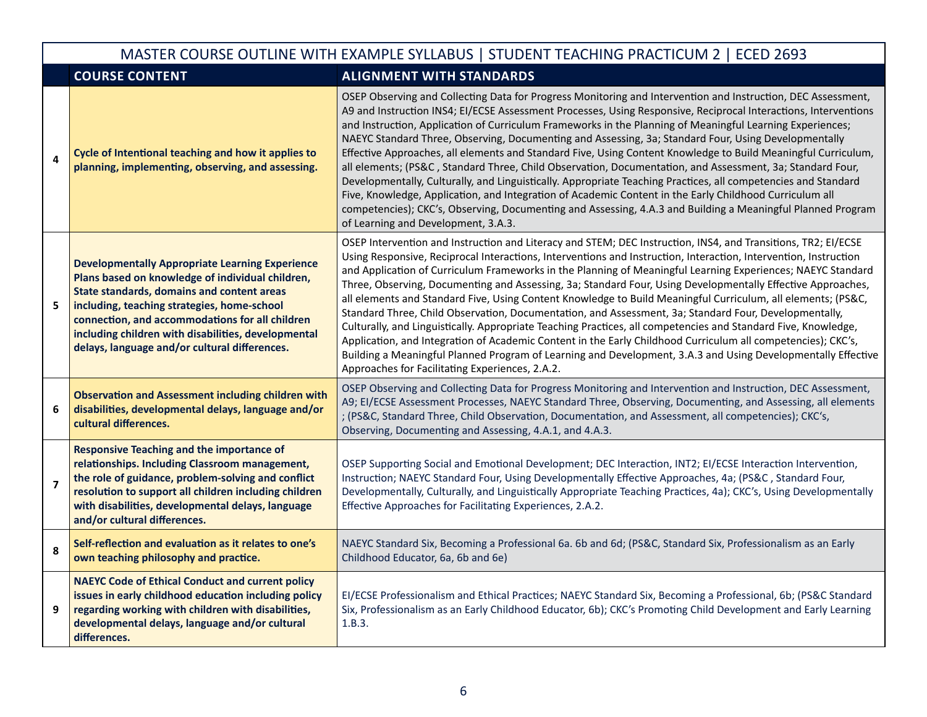|                | MASTER COURSE OUTLINE WITH EXAMPLE SYLLABUS   STUDENT TEACHING PRACTICUM 2   ECED 2693                                                                                                                                                                                                                                                                             |                                                                                                                                                                                                                                                                                                                                                                                                                                                                                                                                                                                                                                                                                                                                                                                                                                                                                                                                                                                                                                                                                               |  |  |
|----------------|--------------------------------------------------------------------------------------------------------------------------------------------------------------------------------------------------------------------------------------------------------------------------------------------------------------------------------------------------------------------|-----------------------------------------------------------------------------------------------------------------------------------------------------------------------------------------------------------------------------------------------------------------------------------------------------------------------------------------------------------------------------------------------------------------------------------------------------------------------------------------------------------------------------------------------------------------------------------------------------------------------------------------------------------------------------------------------------------------------------------------------------------------------------------------------------------------------------------------------------------------------------------------------------------------------------------------------------------------------------------------------------------------------------------------------------------------------------------------------|--|--|
|                | <b>COURSE CONTENT</b>                                                                                                                                                                                                                                                                                                                                              | <b>ALIGNMENT WITH STANDARDS</b>                                                                                                                                                                                                                                                                                                                                                                                                                                                                                                                                                                                                                                                                                                                                                                                                                                                                                                                                                                                                                                                               |  |  |
| 4              | Cycle of Intentional teaching and how it applies to<br>planning, implementing, observing, and assessing.                                                                                                                                                                                                                                                           | OSEP Observing and Collecting Data for Progress Monitoring and Intervention and Instruction, DEC Assessment,<br>A9 and Instruction INS4; EI/ECSE Assessment Processes, Using Responsive, Reciprocal Interactions, Interventions<br>and Instruction, Application of Curriculum Frameworks in the Planning of Meaningful Learning Experiences;<br>NAEYC Standard Three, Observing, Documenting and Assessing, 3a; Standard Four, Using Developmentally<br>Effective Approaches, all elements and Standard Five, Using Content Knowledge to Build Meaningful Curriculum,<br>all elements; (PS&C, Standard Three, Child Observation, Documentation, and Assessment, 3a; Standard Four,<br>Developmentally, Culturally, and Linguistically. Appropriate Teaching Practices, all competencies and Standard<br>Five, Knowledge, Application, and Integration of Academic Content in the Early Childhood Curriculum all<br>competencies); CKC's, Observing, Documenting and Assessing, 4.A.3 and Building a Meaningful Planned Program<br>of Learning and Development, 3.A.3.                         |  |  |
| 5              | <b>Developmentally Appropriate Learning Experience</b><br>Plans based on knowledge of individual children,<br>State standards, domains and content areas<br>including, teaching strategies, home-school<br>connection, and accommodations for all children<br>including children with disabilities, developmental<br>delays, language and/or cultural differences. | OSEP Intervention and Instruction and Literacy and STEM; DEC Instruction, INS4, and Transitions, TR2; EI/ECSE<br>Using Responsive, Reciprocal Interactions, Interventions and Instruction, Interaction, Intervention, Instruction<br>and Application of Curriculum Frameworks in the Planning of Meaningful Learning Experiences; NAEYC Standard<br>Three, Observing, Documenting and Assessing, 3a; Standard Four, Using Developmentally Effective Approaches,<br>all elements and Standard Five, Using Content Knowledge to Build Meaningful Curriculum, all elements; (PS&C,<br>Standard Three, Child Observation, Documentation, and Assessment, 3a; Standard Four, Developmentally,<br>Culturally, and Linguistically. Appropriate Teaching Practices, all competencies and Standard Five, Knowledge,<br>Application, and Integration of Academic Content in the Early Childhood Curriculum all competencies); CKC's,<br>Building a Meaningful Planned Program of Learning and Development, 3.A.3 and Using Developmentally Effective<br>Approaches for Facilitating Experiences, 2.A.2. |  |  |
| 6              | <b>Observation and Assessment including children with</b><br>disabilities, developmental delays, language and/or<br>cultural differences.                                                                                                                                                                                                                          | OSEP Observing and Collecting Data for Progress Monitoring and Intervention and Instruction, DEC Assessment,<br>A9; EI/ECSE Assessment Processes, NAEYC Standard Three, Observing, Documenting, and Assessing, all elements<br>; (PS&C, Standard Three, Child Observation, Documentation, and Assessment, all competencies); CKC's,<br>Observing, Documenting and Assessing, 4.A.1, and 4.A.3.                                                                                                                                                                                                                                                                                                                                                                                                                                                                                                                                                                                                                                                                                                |  |  |
| $\overline{7}$ | <b>Responsive Teaching and the importance of</b><br>relationships. Including Classroom management,<br>the role of guidance, problem-solving and conflict<br>resolution to support all children including children<br>with disabilities, developmental delays, language<br>and/or cultural differences.                                                             | OSEP Supporting Social and Emotional Development; DEC Interaction, INT2; EI/ECSE Interaction Intervention,<br>Instruction; NAEYC Standard Four, Using Developmentally Effective Approaches, 4a; (PS&C, Standard Four,<br>Developmentally, Culturally, and Linguistically Appropriate Teaching Practices, 4a); CKC's, Using Developmentally<br>Effective Approaches for Facilitating Experiences, 2.A.2.                                                                                                                                                                                                                                                                                                                                                                                                                                                                                                                                                                                                                                                                                       |  |  |
| 8              | Self-reflection and evaluation as it relates to one's<br>own teaching philosophy and practice.                                                                                                                                                                                                                                                                     | NAEYC Standard Six, Becoming a Professional 6a. 6b and 6d; (PS&C, Standard Six, Professionalism as an Early<br>Childhood Educator, 6a, 6b and 6e)                                                                                                                                                                                                                                                                                                                                                                                                                                                                                                                                                                                                                                                                                                                                                                                                                                                                                                                                             |  |  |
| 9              | <b>NAEYC Code of Ethical Conduct and current policy</b><br>issues in early childhood education including policy<br>regarding working with children with disabilities,<br>developmental delays, language and/or cultural<br>differences.                                                                                                                            | EI/ECSE Professionalism and Ethical Practices; NAEYC Standard Six, Becoming a Professional, 6b; (PS&C Standard<br>Six, Professionalism as an Early Childhood Educator, 6b); CKC's Promoting Child Development and Early Learning<br>1.B.3.                                                                                                                                                                                                                                                                                                                                                                                                                                                                                                                                                                                                                                                                                                                                                                                                                                                    |  |  |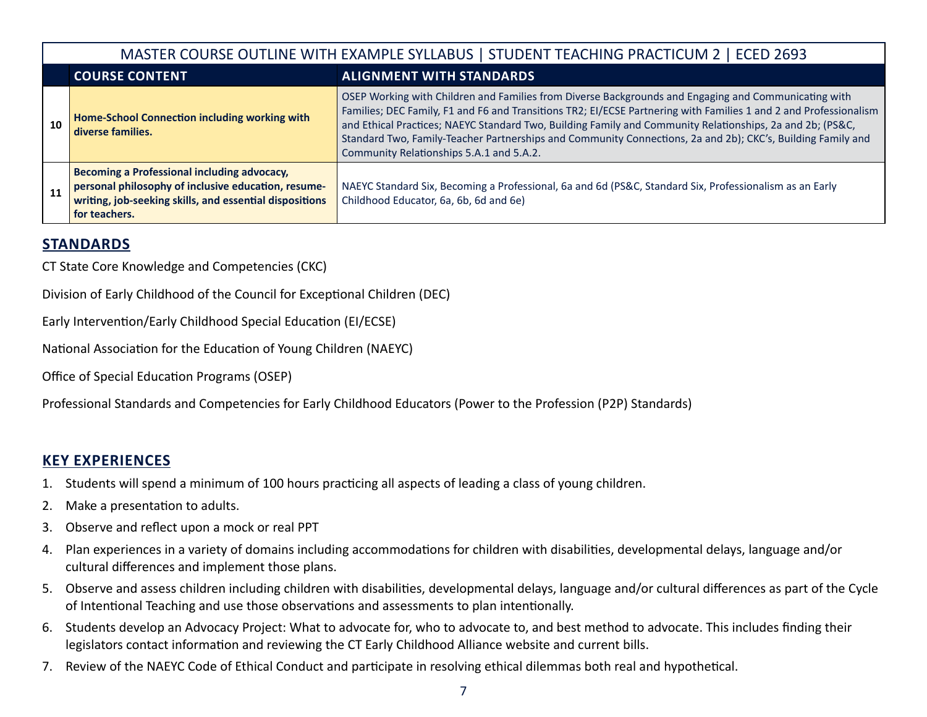|    |                                                                                                                                                                                | MASTER COURSE OUTLINE WITH EXAMPLE SYLLABUS   STUDENT TEACHING PRACTICUM 2   ECED 2693                                                                                                                                                                                                                                                                                                                                                                                                            |  |
|----|--------------------------------------------------------------------------------------------------------------------------------------------------------------------------------|---------------------------------------------------------------------------------------------------------------------------------------------------------------------------------------------------------------------------------------------------------------------------------------------------------------------------------------------------------------------------------------------------------------------------------------------------------------------------------------------------|--|
|    | <b>COURSE CONTENT</b>                                                                                                                                                          | <b>ALIGNMENT WITH STANDARDS</b>                                                                                                                                                                                                                                                                                                                                                                                                                                                                   |  |
| 10 | Home-School Connection including working with<br>diverse families.                                                                                                             | OSEP Working with Children and Families from Diverse Backgrounds and Engaging and Communicating with<br>Families; DEC Family, F1 and F6 and Transitions TR2; EI/ECSE Partnering with Families 1 and 2 and Professionalism<br>and Ethical Practices; NAEYC Standard Two, Building Family and Community Relationships, 2a and 2b; (PS&C,<br>Standard Two, Family-Teacher Partnerships and Community Connections, 2a and 2b); CKC's, Building Family and<br>Community Relationships 5.A.1 and 5.A.2. |  |
| 11 | Becoming a Professional including advocacy,<br>personal philosophy of inclusive education, resume-<br>writing, job-seeking skills, and essential dispositions<br>for teachers. | NAEYC Standard Six, Becoming a Professional, 6a and 6d (PS&C, Standard Six, Professionalism as an Early<br>Childhood Educator, 6a, 6b, 6d and 6e)                                                                                                                                                                                                                                                                                                                                                 |  |

## **STANDARDS**

CT State Core Knowledge and Competencies (CKC)

Division of Early Childhood of the Council for Exceptional Children (DEC)

Early Intervention/Early Childhood Special Education (EI/ECSE)

National Association for the Education of Young Children (NAEYC)

Office of Special Education Programs (OSEP)

Professional Standards and Competencies for Early Childhood Educators (Power to the Profession (P2P) Standards)

## **KEY EXPERIENCES**

- 1. Students will spend a minimum of 100 hours practicing all aspects of leading a class of young children.
- 2. Make a presentation to adults.
- 3. Observe and reflect upon a mock or real PPT
- 4. Plan experiences in a variety of domains including accommodations for children with disabilities, developmental delays, language and/or cultural differences and implement those plans.
- 5. Observe and assess children including children with disabilities, developmental delays, language and/or cultural differences as part of the Cycle of Intentional Teaching and use those observations and assessments to plan intentionally.
- 6. Students develop an Advocacy Project: What to advocate for, who to advocate to, and best method to advocate. This includes finding their legislators contact information and reviewing the CT Early Childhood Alliance website and current bills.
- 7. Review of the NAEYC Code of Ethical Conduct and participate in resolving ethical dilemmas both real and hypothetical.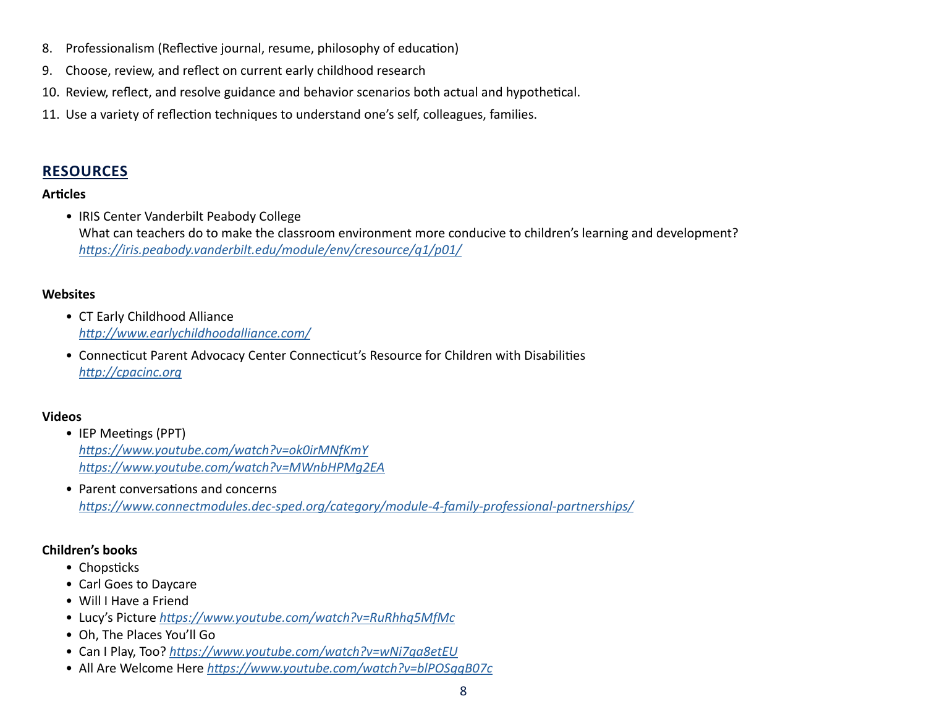- 8. Professionalism (Reflective journal, resume, philosophy of education)
- 9. Choose, review, and reflect on current early childhood research
- 10. Review, reflect, and resolve guidance and behavior scenarios both actual and hypothetical.
- 11. Use a variety of reflection techniques to understand one's self, colleagues, families.

## **RESOURCES**

#### **Articles**

• IRIS Center Vanderbilt Peabody College What can teachers do to make the classroom environment more conducive to children's learning and development? *<https://iris.peabody.vanderbilt.edu/module/env/cresource/q1/p01/>*

### **Websites**

- CT Early Childhood Alliance *[http://www.earlychildhoodalliance.com/](https://www.earlychildhoodalliance.com)*
- Connecticut Parent Advocacy Center Connecticut's Resource for Children with Disabilities *[http://cpacinc.org](https://cpacinc.org)*

#### **Videos**

- IEP Meetings (PPT) *<https://www.youtube.com/watch?v=ok0irMNfKmY> <https://www.youtube.com/watch?v=MWnbHPMg2EA>*
- Parent conversations and concerns *[https://www.connectmodules.dec-sped.org/category/module-4-family-professional-partnerships/](https://connectmodules.dec-sped.org/category/module-4-family-professional-partnerships/)*

#### **Children's books**

- Chopsticks
- Carl Goes to Daycare
- Will I Have a Friend
- Lucy's Picture *<https://www.youtube.com/watch?v=RuRhhq5MfMc>*
- Oh, The Places You'll Go
- Can I Play, Too? *<https://www.youtube.com/watch?v=wNi7qa8etEU>*
- All Are Welcome Here *<https://www.youtube.com/watch?v=blPOSggB07c>*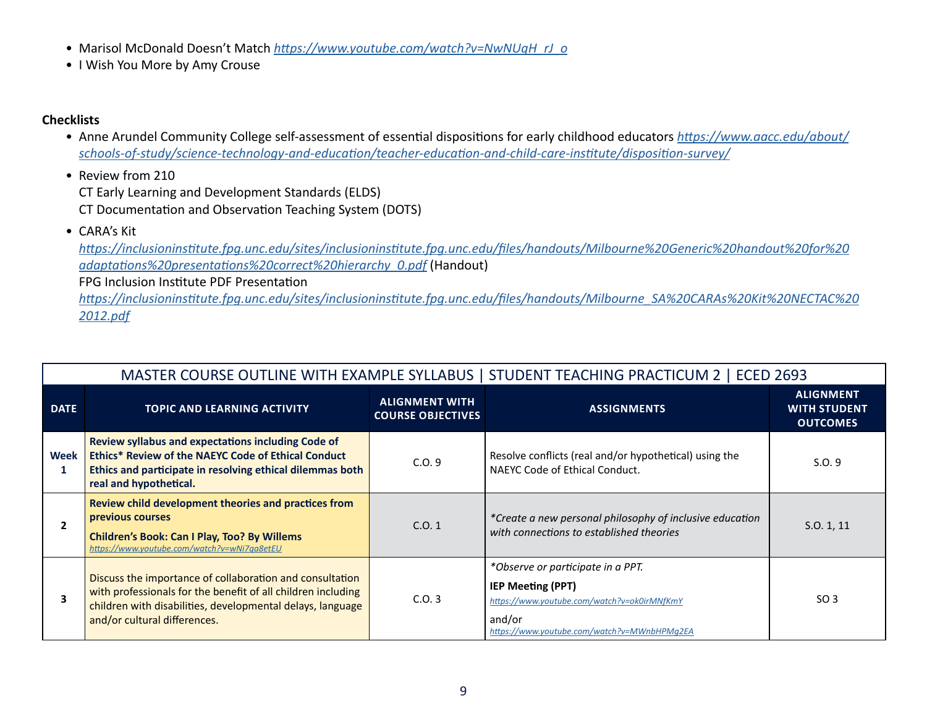- Marisol McDonald Doesn't Match *[https://www.youtube.com/watch?v=NwNUqH\\_rJ\\_o](https://www.youtube.com/watch?v=NwNUqH_rJ_o)*
- I Wish You More by Amy Crouse

#### **Checklists**

- Anne Arundel Community College self-assessment of essential dispositions for early childhood educators *[https://www.aacc.edu/about/](https://www.aacc.edu/about/schools-of-study/science-technology-and-education/teacher-education-and-child-care-institute/disposition-survey/) [schools-of-study/science-technology-and-education/teacher-education-and-child-care-institute/disposition-survey/](https://www.aacc.edu/about/schools-of-study/science-technology-and-education/teacher-education-and-child-care-institute/disposition-survey/)*
- Review from 210 CT Early Learning and Development Standards (ELDS) CT Documentation and Observation Teaching System (DOTS)
- CARA's Kit

*[https://inclusioninstitute.fpg.unc.edu/sites/inclusioninstitute.fpg.unc.edu/files/handouts/Milbourne%20Generic%20handout%20for%20](https://inclusioninstitute.fpg.unc.edu/sites/inclusioninstitute.fpg.unc.edu/files/handouts/Milbourne%20Generic%20handout%20for%20adaptations%20presentations%20correct%20hierarchy_0.pdf) [adaptations%20presentations%20correct%20hierarchy\\_0.pdf](https://inclusioninstitute.fpg.unc.edu/sites/inclusioninstitute.fpg.unc.edu/files/handouts/Milbourne%20Generic%20handout%20for%20adaptations%20presentations%20correct%20hierarchy_0.pdf)* (Handout)

FPG Inclusion Institute PDF Presentation

*[https://inclusioninstitute.fpg.unc.edu/sites/inclusioninstitute.fpg.unc.edu/files/handouts/Milbourne\\_SA%20CARAs%20Kit%20NECTAC%20](https://inclusioninstitute.fpg.unc.edu/sites/inclusioninstitute.fpg.unc.edu/files/handouts/Milbourne_SA%20CARAs%20Kit%20NECTAC%202012.pdf) [2012.pdf](https://inclusioninstitute.fpg.unc.edu/sites/inclusioninstitute.fpg.unc.edu/files/handouts/Milbourne_SA%20CARAs%20Kit%20NECTAC%202012.pdf)*

|              |                                                                                                                                                                                                                        |                                                   | MASTER COURSE OUTLINE WITH EXAMPLE SYLLABUS   STUDENT TEACHING PRACTICUM 2   ECED 2693                                                                                |                                                            |
|--------------|------------------------------------------------------------------------------------------------------------------------------------------------------------------------------------------------------------------------|---------------------------------------------------|-----------------------------------------------------------------------------------------------------------------------------------------------------------------------|------------------------------------------------------------|
| <b>DATE</b>  | <b>TOPIC AND LEARNING ACTIVITY</b>                                                                                                                                                                                     | <b>ALIGNMENT WITH</b><br><b>COURSE OBJECTIVES</b> | <b>ASSIGNMENTS</b>                                                                                                                                                    | <b>ALIGNMENT</b><br><b>WITH STUDENT</b><br><b>OUTCOMES</b> |
| Week<br>1    | <b>Review syllabus and expectations including Code of</b><br>Ethics* Review of the NAEYC Code of Ethical Conduct<br>Ethics and participate in resolving ethical dilemmas both<br>real and hypothetical.                | C.0.9                                             | Resolve conflicts (real and/or hypothetical) using the<br>NAEYC Code of Ethical Conduct.                                                                              | S.0.9                                                      |
| $\mathbf{2}$ | Review child development theories and practices from<br>previous courses<br><b>Children's Book: Can I Play, Too? By Willems</b><br>https://www.youtube.com/watch?v=wNi7qa8etEU                                         | C.0.1                                             | *Create a new personal philosophy of inclusive education<br>with connections to established theories                                                                  | S.0.1, 11                                                  |
| 3            | Discuss the importance of collaboration and consultation<br>with professionals for the benefit of all children including<br>children with disabilities, developmental delays, language<br>and/or cultural differences. | C.0.3                                             | *Observe or participate in a PPT.<br><b>IEP Meeting (PPT)</b><br>https://www.youtube.com/watch?v=ok0irMNfKmY<br>and/or<br>https://www.youtube.com/watch?v=MWnbHPMq2EA | SO <sub>3</sub>                                            |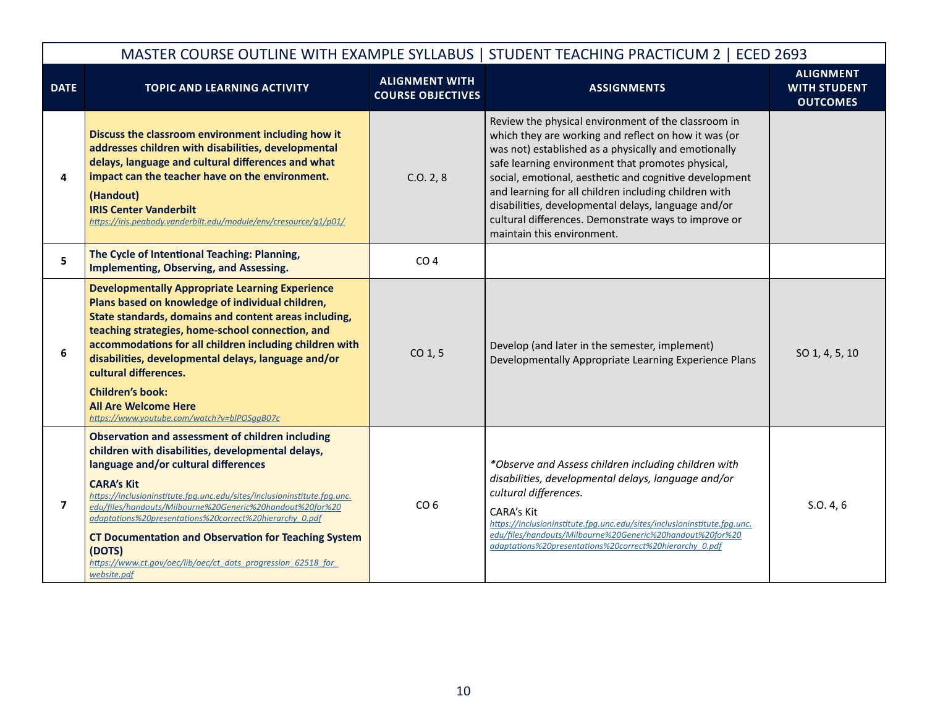|                         |                                                                                                                                                                                                                                                                                                                                                                                                                                                                                                                                        |                                                   | MASTER COURSE OUTLINE WITH EXAMPLE SYLLABUS   STUDENT TEACHING PRACTICUM 2   ECED 2693                                                                                                                                                                                                                                                                                                                                                                                                   |                                                            |
|-------------------------|----------------------------------------------------------------------------------------------------------------------------------------------------------------------------------------------------------------------------------------------------------------------------------------------------------------------------------------------------------------------------------------------------------------------------------------------------------------------------------------------------------------------------------------|---------------------------------------------------|------------------------------------------------------------------------------------------------------------------------------------------------------------------------------------------------------------------------------------------------------------------------------------------------------------------------------------------------------------------------------------------------------------------------------------------------------------------------------------------|------------------------------------------------------------|
| <b>DATE</b>             | <b>TOPIC AND LEARNING ACTIVITY</b>                                                                                                                                                                                                                                                                                                                                                                                                                                                                                                     | <b>ALIGNMENT WITH</b><br><b>COURSE OBJECTIVES</b> | <b>ASSIGNMENTS</b>                                                                                                                                                                                                                                                                                                                                                                                                                                                                       | <b>ALIGNMENT</b><br><b>WITH STUDENT</b><br><b>OUTCOMES</b> |
| 4                       | Discuss the classroom environment including how it<br>addresses children with disabilities, developmental<br>delays, language and cultural differences and what<br>impact can the teacher have on the environment.<br>(Handout)<br><b>IRIS Center Vanderbilt</b><br>https://iris.peabody.vanderbilt.edu/module/env/cresource/q1/p01/                                                                                                                                                                                                   | C.0.2, 8                                          | Review the physical environment of the classroom in<br>which they are working and reflect on how it was (or<br>was not) established as a physically and emotionally<br>safe learning environment that promotes physical,<br>social, emotional, aesthetic and cognitive development<br>and learning for all children including children with<br>disabilities, developmental delays, language and/or<br>cultural differences. Demonstrate ways to improve or<br>maintain this environment. |                                                            |
| 5                       | The Cycle of Intentional Teaching: Planning,<br><b>Implementing, Observing, and Assessing.</b>                                                                                                                                                                                                                                                                                                                                                                                                                                         | CO <sub>4</sub>                                   |                                                                                                                                                                                                                                                                                                                                                                                                                                                                                          |                                                            |
| 6                       | <b>Developmentally Appropriate Learning Experience</b><br>Plans based on knowledge of individual children,<br>State standards, domains and content areas including,<br>teaching strategies, home-school connection, and<br>accommodations for all children including children with<br>disabilities, developmental delays, language and/or<br>cultural differences.<br><b>Children's book:</b><br><b>All Are Welcome Here</b><br>https://www.youtube.com/watch?v=blPOSggB07c                                                            | $CO1$ , 5                                         | Develop (and later in the semester, implement)<br>Developmentally Appropriate Learning Experience Plans                                                                                                                                                                                                                                                                                                                                                                                  | SO 1, 4, 5, 10                                             |
| $\overline{\mathbf{z}}$ | <b>Observation and assessment of children including</b><br>children with disabilities, developmental delays,<br>language and/or cultural differences<br><b>CARA's Kit</b><br>https://inclusioninstitute.fpg.unc.edu/sites/inclusioninstitute.fpg.unc.<br>edu/files/handouts/Milbourne%20Generic%20handout%20for%20<br>adaptations%20presentations%20correct%20hierarchy 0.pdf<br><b>CT Documentation and Observation for Teaching System</b><br>(DOTS)<br>https://www.ct.gov/oec/lib/oec/ct_dots_progression_62518_for_<br>website.pdf | CO <sub>6</sub>                                   | *Observe and Assess children including children with<br>disabilities, developmental delays, language and/or<br>cultural differences.<br>CARA's Kit<br>https://inclusioninstitute.fpg.unc.edu/sites/inclusioninstitute.fpg.unc.<br>edu/files/handouts/Milbourne%20Generic%20handout%20for%20<br>adaptations%20presentations%20correct%20hierarchy 0.pdf                                                                                                                                   | S.0.4, 6                                                   |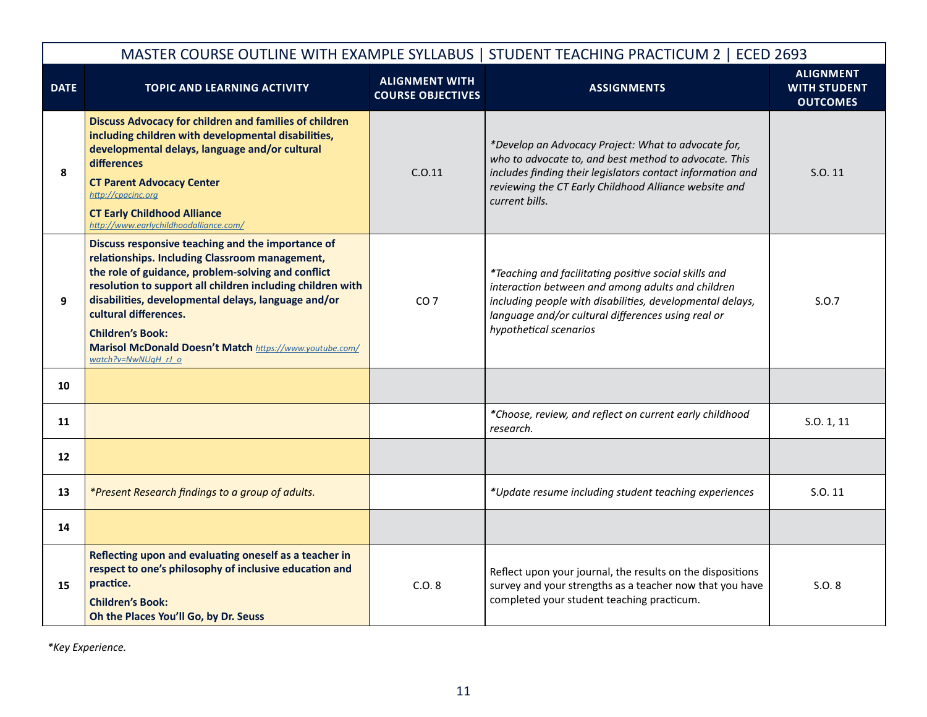|             |                                                                                                                                                                                                                                                                                                                                                                                                                      |                                                   | MASTER COURSE OUTLINE WITH EXAMPLE SYLLABUS   STUDENT TEACHING PRACTICUM 2   ECED 2693                                                                                                                                                                  |                                                            |
|-------------|----------------------------------------------------------------------------------------------------------------------------------------------------------------------------------------------------------------------------------------------------------------------------------------------------------------------------------------------------------------------------------------------------------------------|---------------------------------------------------|---------------------------------------------------------------------------------------------------------------------------------------------------------------------------------------------------------------------------------------------------------|------------------------------------------------------------|
| <b>DATE</b> | <b>TOPIC AND LEARNING ACTIVITY</b>                                                                                                                                                                                                                                                                                                                                                                                   | <b>ALIGNMENT WITH</b><br><b>COURSE OBJECTIVES</b> | <b>ASSIGNMENTS</b>                                                                                                                                                                                                                                      | <b>ALIGNMENT</b><br><b>WITH STUDENT</b><br><b>OUTCOMES</b> |
| 8           | <b>Discuss Advocacy for children and families of children</b><br>including children with developmental disabilities,<br>developmental delays, language and/or cultural<br>differences<br><b>CT Parent Advocacy Center</b><br>http://cpacinc.org<br><b>CT Early Childhood Alliance</b><br>http://www.earlychildhoodalliance.com/                                                                                      | C.0.11                                            | *Develop an Advocacy Project: What to advocate for,<br>who to advocate to, and best method to advocate. This<br>includes finding their legislators contact information and<br>reviewing the CT Early Childhood Alliance website and<br>current bills.   | S.O. 11                                                    |
| 9           | Discuss responsive teaching and the importance of<br>relationships. Including Classroom management,<br>the role of guidance, problem-solving and conflict<br>resolution to support all children including children with<br>disabilities, developmental delays, language and/or<br>cultural differences.<br><b>Children's Book:</b><br>Marisol McDonald Doesn't Match https://www.youtube.com/<br>watch?v=NwNUqH rJ o | CO <sub>7</sub>                                   | *Teaching and facilitating positive social skills and<br>interaction between and among adults and children<br>including people with disabilities, developmental delays,<br>language and/or cultural differences using real or<br>hypothetical scenarios | S.0.7                                                      |
| 10          |                                                                                                                                                                                                                                                                                                                                                                                                                      |                                                   |                                                                                                                                                                                                                                                         |                                                            |
| 11          |                                                                                                                                                                                                                                                                                                                                                                                                                      |                                                   | *Choose, review, and reflect on current early childhood<br>research.                                                                                                                                                                                    | S.0.1, 11                                                  |
| 12          |                                                                                                                                                                                                                                                                                                                                                                                                                      |                                                   |                                                                                                                                                                                                                                                         |                                                            |
| 13          | *Present Research findings to a group of adults.                                                                                                                                                                                                                                                                                                                                                                     |                                                   | *Update resume including student teaching experiences                                                                                                                                                                                                   | S.O. 11                                                    |
| 14          |                                                                                                                                                                                                                                                                                                                                                                                                                      |                                                   |                                                                                                                                                                                                                                                         |                                                            |
| 15          | Reflecting upon and evaluating oneself as a teacher in<br>respect to one's philosophy of inclusive education and<br>practice.<br><b>Children's Book:</b><br>Oh the Places You'll Go, by Dr. Seuss                                                                                                                                                                                                                    | C.O.8                                             | Reflect upon your journal, the results on the dispositions<br>survey and your strengths as a teacher now that you have<br>completed your student teaching practicum.                                                                                    | S.O. 8                                                     |

*\*Key Experience.*